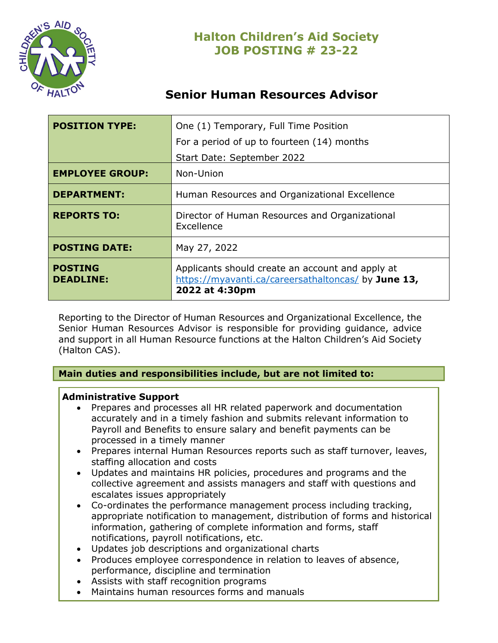

# **Senior Human Resources Advisor**

| <b>POSITION TYPE:</b>              | One (1) Temporary, Full Time Position<br>For a period of up to fourteen (14) months                                       |
|------------------------------------|---------------------------------------------------------------------------------------------------------------------------|
|                                    | Start Date: September 2022                                                                                                |
| <b>EMPLOYEE GROUP:</b>             | Non-Union                                                                                                                 |
| <b>DEPARTMENT:</b>                 | Human Resources and Organizational Excellence                                                                             |
| <b>REPORTS TO:</b>                 | Director of Human Resources and Organizational<br>Excellence                                                              |
| <b>POSTING DATE:</b>               | May 27, 2022                                                                                                              |
| <b>POSTING</b><br><b>DEADLINE:</b> | Applicants should create an account and apply at<br>https://myavanti.ca/careersathaltoncas/ by June 13,<br>2022 at 4:30pm |

Reporting to the Director of Human Resources and Organizational Excellence, the Senior Human Resources Advisor is responsible for providing guidance, advice and support in all Human Resource functions at the Halton Children's Aid Society (Halton CAS).

### **Main duties and responsibilities include, but are not limited to:**

### **Administrative Support**

- Prepares and processes all HR related paperwork and documentation accurately and in a timely fashion and submits relevant information to Payroll and Benefits to ensure salary and benefit payments can be processed in a timely manner
- Prepares internal Human Resources reports such as staff turnover, leaves, staffing allocation and costs
- Updates and maintains HR policies, procedures and programs and the collective agreement and assists managers and staff with questions and escalates issues appropriately
- Co-ordinates the performance management process including tracking, appropriate notification to management, distribution of forms and historical information, gathering of complete information and forms, staff notifications, payroll notifications, etc.
- Updates job descriptions and organizational charts
- Produces employee correspondence in relation to leaves of absence, performance, discipline and termination
- Assists with staff recognition programs
- Maintains human resources forms and manuals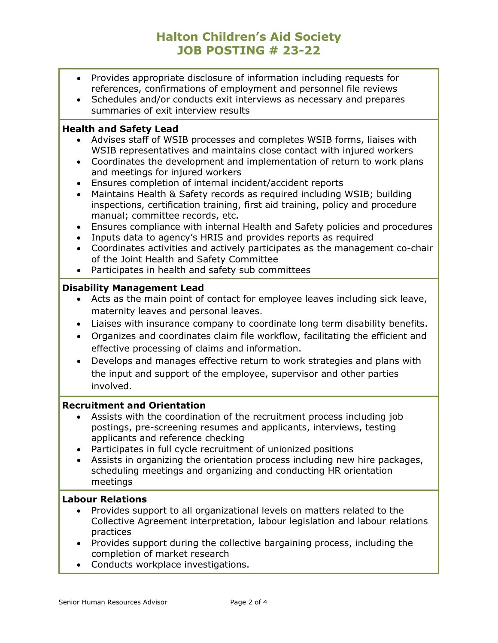# **Halton Children's Aid Society JOB POSTING # 23-22**

- Provides appropriate disclosure of information including requests for references, confirmations of employment and personnel file reviews
- Schedules and/or conducts exit interviews as necessary and prepares summaries of exit interview results

### **Health and Safety Lead**

- Advises staff of WSIB processes and completes WSIB forms, liaises with WSIB representatives and maintains close contact with injured workers
- Coordinates the development and implementation of return to work plans and meetings for injured workers
- Ensures completion of internal incident/accident reports
- Maintains Health & Safety records as required including WSIB; building inspections, certification training, first aid training, policy and procedure manual; committee records, etc.
- Ensures compliance with internal Health and Safety policies and procedures
- Inputs data to agency's HRIS and provides reports as required
- Coordinates activities and actively participates as the management co-chair of the Joint Health and Safety Committee
- Participates in health and safety sub committees

### **Disability Management Lead**

- Acts as the main point of contact for employee leaves including sick leave, maternity leaves and personal leaves.
- Liaises with insurance company to coordinate long term disability benefits.
- Organizes and coordinates claim file workflow, facilitating the efficient and effective processing of claims and information.
- Develops and manages effective return to work strategies and plans with the input and support of the employee, supervisor and other parties involved.

### **Recruitment and Orientation**

- Assists with the coordination of the recruitment process including job postings, pre-screening resumes and applicants, interviews, testing applicants and reference checking
- Participates in full cycle recruitment of unionized positions
- Assists in organizing the orientation process including new hire packages, scheduling meetings and organizing and conducting HR orientation meetings

### **Labour Relations**

- Provides support to all organizational levels on matters related to the Collective Agreement interpretation, labour legislation and labour relations practices
- Provides support during the collective bargaining process, including the completion of market research
- Conducts workplace investigations.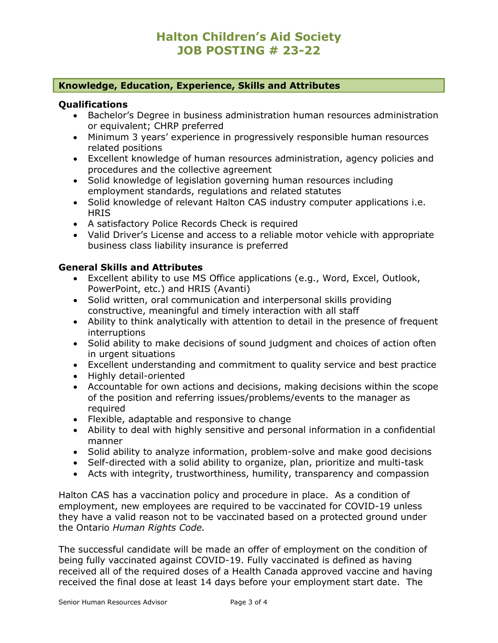## **Halton Children's Aid Society JOB POSTING # 23-22**

#### **Knowledge, Education, Experience, Skills and Attributes**

#### **Qualifications**

- Bachelor's Degree in business administration human resources administration or equivalent; CHRP preferred
- Minimum 3 years' experience in progressively responsible human resources related positions
- Excellent knowledge of human resources administration, agency policies and procedures and the collective agreement
- Solid knowledge of legislation governing human resources including employment standards, regulations and related statutes
- Solid knowledge of relevant Halton CAS industry computer applications i.e. **HRIS**
- A satisfactory Police Records Check is required
- Valid Driver's License and access to a reliable motor vehicle with appropriate business class liability insurance is preferred

#### **General Skills and Attributes**

- Excellent ability to use MS Office applications (e.g., Word, Excel, Outlook, PowerPoint, etc.) and HRIS (Avanti)
- Solid written, oral communication and interpersonal skills providing constructive, meaningful and timely interaction with all staff
- Ability to think analytically with attention to detail in the presence of frequent interruptions
- Solid ability to make decisions of sound judgment and choices of action often in urgent situations
- Excellent understanding and commitment to quality service and best practice
- Highly detail-oriented
- Accountable for own actions and decisions, making decisions within the scope of the position and referring issues/problems/events to the manager as required
- Flexible, adaptable and responsive to change
- Ability to deal with highly sensitive and personal information in a confidential manner
- Solid ability to analyze information, problem-solve and make good decisions
- Self-directed with a solid ability to organize, plan, prioritize and multi-task
- Acts with integrity, trustworthiness, humility, transparency and compassion

Halton CAS has a vaccination policy and procedure in place. As a condition of employment, new employees are required to be vaccinated for COVID-19 unless they have a valid reason not to be vaccinated based on a protected ground under the Ontario *Human Rights Code.* 

The successful candidate will be made an offer of employment on the condition of being fully vaccinated against COVID-19. Fully vaccinated is defined as having received all of the required doses of a Health Canada approved vaccine and having received the final dose at least 14 days before your employment start date. The